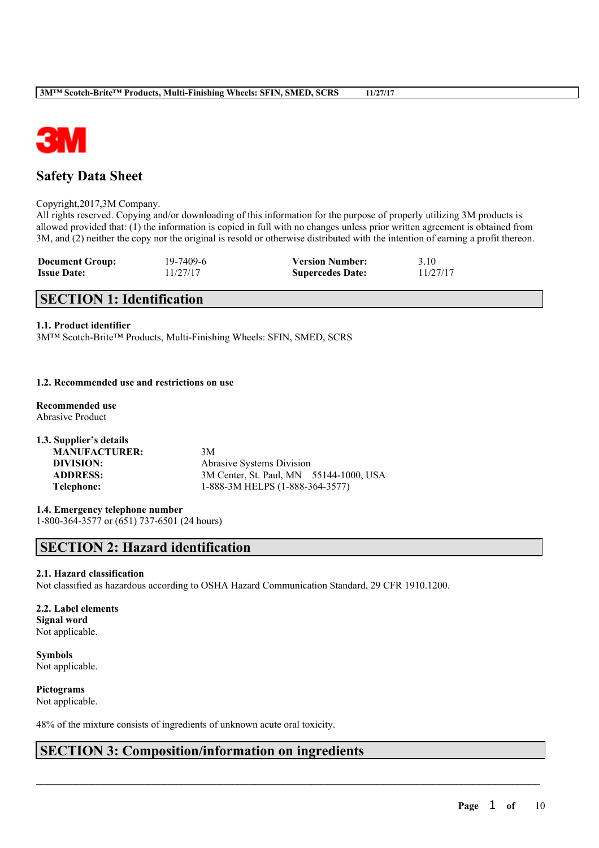

## **Safety Data Sheet**

#### Copyright,2017,3M Company.

All rights reserved. Copying and/or downloading of this information for the purpose of properly utilizing 3M products is allowed provided that: (1) the information is copied in full with no changes unless prior written agreement is obtained from 3M, and (2) neither the copy nor the original is resold or otherwise distributed with the intention of earning a profit thereon.

| <b>Document Group:</b> | 19-7409-6 | <b>Version Number:</b>  | 3.10     |
|------------------------|-----------|-------------------------|----------|
| <b>Issue Date:</b>     | 11/27/17  | <b>Supercedes Date:</b> | 11/27/17 |

## **SECTION 1: Identification**

#### **1.1. Product identifier**

3M™ Scotch-Brite™ Products, Multi-Finishing Wheels: SFIN, SMED, SCRS

#### **1.2. Recommended use and restrictions on use**

- **Recommended use** Abrasive Product
- **1.3. Supplier's details MANUFACTURER:** 3M **DIVISION:** Abrasive Systems Division **ADDRESS:** 3M Center, St. Paul, MN 55144-1000, USA **Telephone:** 1-888-3M HELPS (1-888-364-3577)

**1.4. Emergency telephone number** 1-800-364-3577 or (651) 737-6501 (24 hours)

## **SECTION 2: Hazard identification**

#### **2.1. Hazard classification**

Not classified as hazardous according to OSHA Hazard Communication Standard, 29 CFR 1910.1200.

 $\mathcal{L}_\mathcal{L} = \mathcal{L}_\mathcal{L} = \mathcal{L}_\mathcal{L} = \mathcal{L}_\mathcal{L} = \mathcal{L}_\mathcal{L} = \mathcal{L}_\mathcal{L} = \mathcal{L}_\mathcal{L} = \mathcal{L}_\mathcal{L} = \mathcal{L}_\mathcal{L} = \mathcal{L}_\mathcal{L} = \mathcal{L}_\mathcal{L} = \mathcal{L}_\mathcal{L} = \mathcal{L}_\mathcal{L} = \mathcal{L}_\mathcal{L} = \mathcal{L}_\mathcal{L} = \mathcal{L}_\mathcal{L} = \mathcal{L}_\mathcal{L}$ 

**2.2. Label elements Signal word** Not applicable.

**Symbols** Not applicable.

**Pictograms** Not applicable.

48% of the mixture consists of ingredients of unknown acute oral toxicity.

## **SECTION 3: Composition/information on ingredients**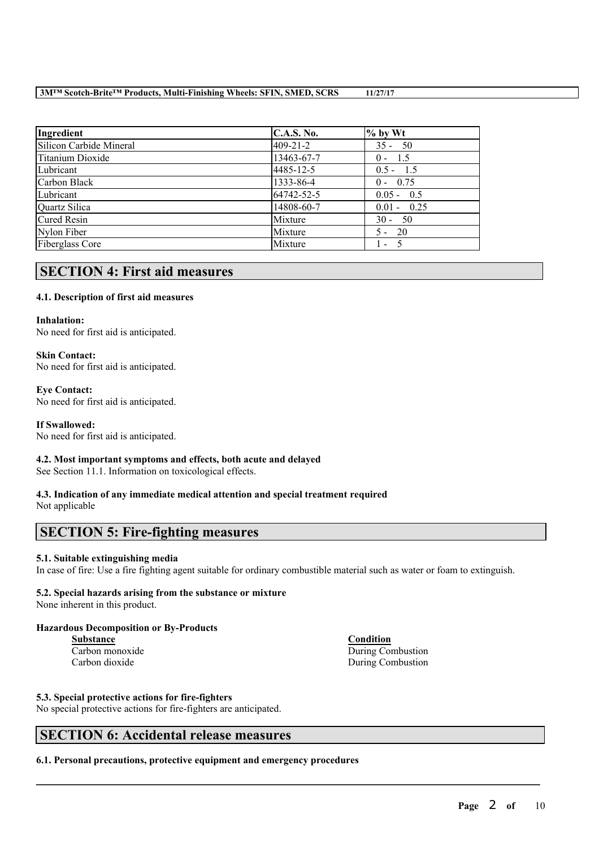| Ingredient              | <b>C.A.S. No.</b> | $%$ by Wt     |
|-------------------------|-------------------|---------------|
| Silicon Carbide Mineral | $409 - 21 - 2$    | $35 - 50$     |
| Titanium Dioxide        | 13463-67-7        | $0 - 1.5$     |
| Lubricant               | 4485-12-5         | $0.5 - 1.5$   |
| Carbon Black            | 1333-86-4         | $0 - 0.75$    |
| Lubricant               | 64742-52-5        | $0.05 - 0.5$  |
| Quartz Silica           | 14808-60-7        | $0.01 - 0.25$ |
| <b>Cured Resin</b>      | Mixture           | $30 - 50$     |
| Nylon Fiber             | Mixture           | $5 - 20$      |
| <b>Fiberglass Core</b>  | Mixture           | $1 - 5$       |

## **SECTION 4: First aid measures**

### **4.1. Description of first aid measures**

#### **Inhalation:**

No need for first aid is anticipated.

#### **Skin Contact:** No need for first aid is anticipated.

#### **Eye Contact:** No need for first aid is anticipated.

### **If Swallowed:**

No need for first aid is anticipated.

### **4.2. Most important symptoms and effects, both acute and delayed**

See Section 11.1. Information on toxicological effects.

# **4.3. Indication of any immediate medical attention and special treatment required**

Not applicable

## **SECTION 5: Fire-fighting measures**

### **5.1. Suitable extinguishing media**

In case of fire: Use a fire fighting agent suitable for ordinary combustible material such as water or foam to extinguish.

 $\mathcal{L}_\mathcal{L} = \mathcal{L}_\mathcal{L} = \mathcal{L}_\mathcal{L} = \mathcal{L}_\mathcal{L} = \mathcal{L}_\mathcal{L} = \mathcal{L}_\mathcal{L} = \mathcal{L}_\mathcal{L} = \mathcal{L}_\mathcal{L} = \mathcal{L}_\mathcal{L} = \mathcal{L}_\mathcal{L} = \mathcal{L}_\mathcal{L} = \mathcal{L}_\mathcal{L} = \mathcal{L}_\mathcal{L} = \mathcal{L}_\mathcal{L} = \mathcal{L}_\mathcal{L} = \mathcal{L}_\mathcal{L} = \mathcal{L}_\mathcal{L}$ 

### **5.2. Special hazards arising from the substance or mixture**

None inherent in this product.

#### **Hazardous Decomposition or By-Products**

Carbon dioxide During Combustion

# **5.3. Special protective actions for fire-fighters**

No special protective actions for fire-fighters are anticipated.

## **SECTION 6: Accidental release measures**

**6.1. Personal precautions, protective equipment and emergency procedures**

## **Substance Condition** Carbon monoxide During Combustion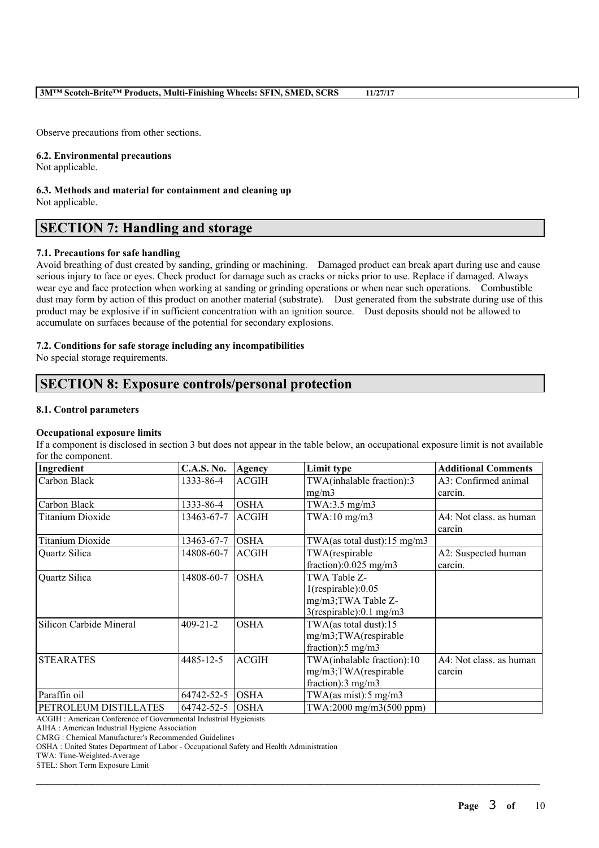Observe precautions from other sections.

#### **6.2. Environmental precautions**

Not applicable.

#### **6.3. Methods and material for containment and cleaning up** Not applicable.

## **SECTION 7: Handling and storage**

### **7.1. Precautions for safe handling**

Avoid breathing of dust created by sanding, grinding or machining. Damaged product can break apart during use and cause serious injury to face or eyes. Check product for damage such as cracks or nicks prior to use. Replace if damaged. Always wear eye and face protection when working at sanding or grinding operations or when near such operations. Combustible dust may form by action of this product on another material (substrate). Dust generated from the substrate during use of this product may be explosive if in sufficient concentration with an ignition source. Dust deposits should not be allowed to accumulate on surfaces because of the potential for secondary explosions.

### **7.2. Conditions for safe storage including any incompatibilities**

No special storage requirements.

## **SECTION 8: Exposure controls/personal protection**

#### **8.1. Control parameters**

#### **Occupational exposure limits**

If a component is disclosed in section 3 but does not appear in the table below, an occupational exposure limit is not available for the component.

| Ingredient              | <b>C.A.S. No.</b> | Agency       | Limit type                       | <b>Additional Comments</b> |
|-------------------------|-------------------|--------------|----------------------------------|----------------------------|
| Carbon Black            | 1333-86-4         | <b>ACGIH</b> | TWA(inhalable fraction):3        | A3: Confirmed animal       |
|                         |                   |              | mg/m3                            | carcin.                    |
| Carbon Black            | 1333-86-4         | <b>OSHA</b>  | TWA:3.5 $mg/m3$                  |                            |
| <b>Titanium Dioxide</b> | 13463-67-7        | <b>ACGIH</b> | $TWA:10$ mg/m $3$                | A4: Not class, as human    |
|                         |                   |              |                                  | carcin                     |
| Titanium Dioxide        | 13463-67-7        | <b>OSHA</b>  | TWA(as total dust):15 mg/m3      |                            |
| Quartz Silica           | 14808-60-7        | <b>ACGIH</b> | TWA(respirable                   | A2: Suspected human        |
|                         |                   |              | fraction): $0.025$ mg/m3         | carcin.                    |
| Quartz Silica           | 14808-60-7        | <b>OSHA</b>  | TWA Table Z-                     |                            |
|                         |                   |              | $1$ (respirable): $0.05$         |                            |
|                         |                   |              | mg/m3;TWA Table Z-               |                            |
|                         |                   |              | 3(respirable):0.1 mg/m3          |                            |
| Silicon Carbide Mineral | $409 - 21 - 2$    | <b>OSHA</b>  | TWA(as total dust): $15$         |                            |
|                         |                   |              | mg/m3;TWA(respirable             |                            |
|                         |                   |              | fraction): $5 \text{ mg/m}$ 3    |                            |
| <b>STEARATES</b>        | 4485-12-5         | <b>ACGIH</b> | TWA(inhalable fraction):10       | A4: Not class. as human    |
|                         |                   |              | mg/m3;TWA(respirable             | carcin                     |
|                         |                   |              | fraction):3 mg/m3                |                            |
| Paraffin oil            | 64742-52-5        | <b>OSHA</b>  | TWA(as mist): $5 \text{ mg/m}$ 3 |                            |
| PETROLEUM DISTILLATES   | 64742-52-5        | IOSHA        | TWA:2000 mg/m3(500 ppm)          |                            |

 $\mathcal{L}_\mathcal{L} = \mathcal{L}_\mathcal{L} = \mathcal{L}_\mathcal{L} = \mathcal{L}_\mathcal{L} = \mathcal{L}_\mathcal{L} = \mathcal{L}_\mathcal{L} = \mathcal{L}_\mathcal{L} = \mathcal{L}_\mathcal{L} = \mathcal{L}_\mathcal{L} = \mathcal{L}_\mathcal{L} = \mathcal{L}_\mathcal{L} = \mathcal{L}_\mathcal{L} = \mathcal{L}_\mathcal{L} = \mathcal{L}_\mathcal{L} = \mathcal{L}_\mathcal{L} = \mathcal{L}_\mathcal{L} = \mathcal{L}_\mathcal{L}$ 

ACGIH : American Conference of Governmental Industrial Hygienists

AIHA : American Industrial Hygiene Association

CMRG : Chemical Manufacturer's Recommended Guidelines

OSHA : United States Department of Labor - Occupational Safety and Health Administration

TWA: Time-Weighted-Average

STEL: Short Term Exposure Limit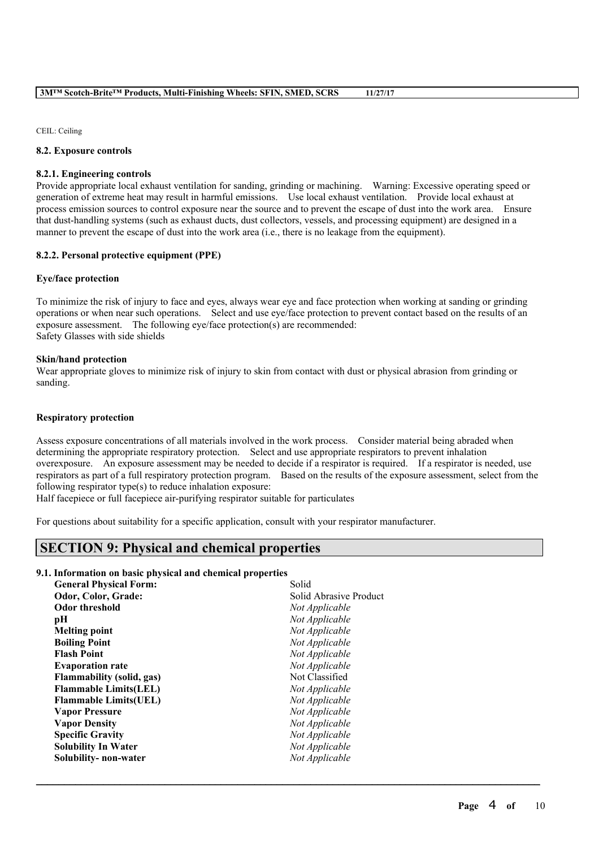CEIL: Ceiling

#### **8.2. Exposure controls**

#### **8.2.1. Engineering controls**

Provide appropriate local exhaust ventilation for sanding, grinding or machining. Warning: Excessive operating speed or generation of extreme heat may result in harmful emissions. Use local exhaust ventilation. Provide local exhaust at process emission sources to control exposure near the source and to prevent the escape of dust into the work area. Ensure that dust-handling systems (such as exhaust ducts, dust collectors, vessels, and processing equipment) are designed in a manner to prevent the escape of dust into the work area (i.e., there is no leakage from the equipment).

#### **8.2.2. Personal protective equipment (PPE)**

#### **Eye/face protection**

To minimize the risk of injury to face and eyes, always wear eye and face protection when working at sanding or grinding operations or when near such operations. Select and use eye/face protection to prevent contact based on the results of an exposure assessment. The following eye/face protection(s) are recommended: Safety Glasses with side shields

#### **Skin/hand protection**

Wear appropriate gloves to minimize risk of injury to skin from contact with dust or physical abrasion from grinding or sanding.

#### **Respiratory protection**

Assess exposure concentrations of all materials involved in the work process. Consider material being abraded when determining the appropriate respiratory protection. Select and use appropriate respirators to prevent inhalation overexposure. An exposure assessment may be needed to decide if a respirator is required. If a respirator is needed, use respirators as part of a full respiratory protection program. Based on the results of the exposure assessment, select from the following respirator type(s) to reduce inhalation exposure:

 $\mathcal{L}_\mathcal{L} = \mathcal{L}_\mathcal{L} = \mathcal{L}_\mathcal{L} = \mathcal{L}_\mathcal{L} = \mathcal{L}_\mathcal{L} = \mathcal{L}_\mathcal{L} = \mathcal{L}_\mathcal{L} = \mathcal{L}_\mathcal{L} = \mathcal{L}_\mathcal{L} = \mathcal{L}_\mathcal{L} = \mathcal{L}_\mathcal{L} = \mathcal{L}_\mathcal{L} = \mathcal{L}_\mathcal{L} = \mathcal{L}_\mathcal{L} = \mathcal{L}_\mathcal{L} = \mathcal{L}_\mathcal{L} = \mathcal{L}_\mathcal{L}$ 

Half facepiece or full facepiece air-purifying respirator suitable for particulates

For questions about suitability for a specific application, consult with your respirator manufacturer.

## **SECTION 9: Physical and chemical properties**

#### **9.1. Information on basic physical and chemical properties**

| <b>General Physical Form:</b>    | Solid                  |
|----------------------------------|------------------------|
| Odor, Color, Grade:              | Solid Abrasive Product |
| <b>Odor threshold</b>            | Not Applicable         |
| pН                               | Not Applicable         |
| <b>Melting point</b>             | Not Applicable         |
| <b>Boiling Point</b>             | Not Applicable         |
| <b>Flash Point</b>               | Not Applicable         |
| <b>Evaporation rate</b>          | Not Applicable         |
| <b>Flammability (solid, gas)</b> | Not Classified         |
| <b>Flammable Limits(LEL)</b>     | Not Applicable         |
| <b>Flammable Limits(UEL)</b>     | Not Applicable         |
| <b>Vapor Pressure</b>            | Not Applicable         |
| <b>Vapor Density</b>             | Not Applicable         |
| <b>Specific Gravity</b>          | Not Applicable         |
| <b>Solubility In Water</b>       | Not Applicable         |
| Solubility- non-water            | Not Applicable         |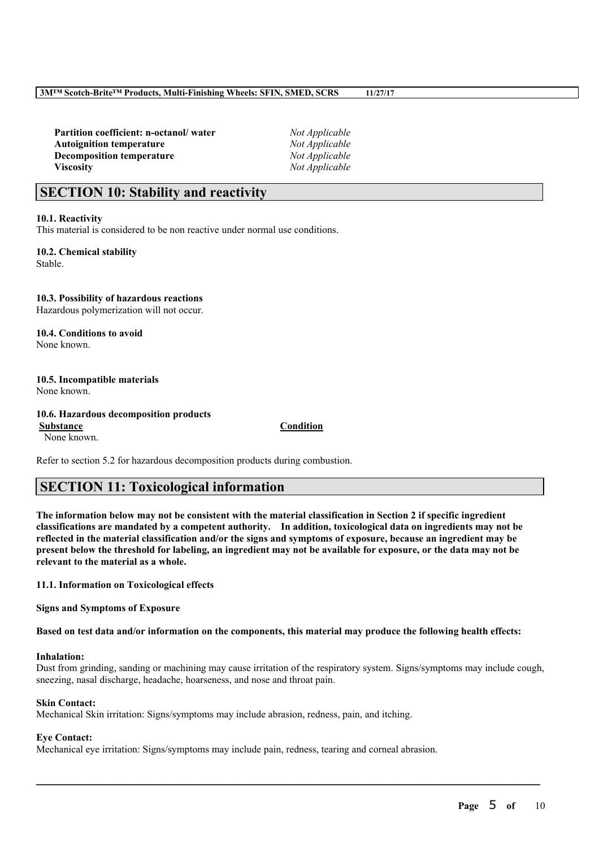**Partition coefficient: n-octanol/ water** *Not Applicable* **Autoignition temperature** *Not Applicable* **Decomposition temperature** *Not Applicable* **Viscosity** *Not Applicable*

## **SECTION 10: Stability and reactivity**

#### **10.1. Reactivity**

This material is considered to be non reactive under normal use conditions.

**10.2. Chemical stability** Stable.

**10.3. Possibility of hazardous reactions** Hazardous polymerization will not occur.

**10.4. Conditions to avoid** None known.

**10.5. Incompatible materials** None known.

**10.6. Hazardous decomposition products Substance Condition**

None known.

Refer to section 5.2 for hazardous decomposition products during combustion.

## **SECTION 11: Toxicological information**

The information below may not be consistent with the material classification in Section 2 if specific ingredient **classifications are mandated by a competent authority. In addition, toxicological data on ingredients may not be** reflected in the material classification and/or the signs and symptoms of exposure, because an ingredient may be present below the threshold for labeling, an ingredient may not be available for exposure, or the data may not be **relevant to the material as a whole.**

**11.1. Information on Toxicological effects**

**Signs and Symptoms of Exposure**

Based on test data and/or information on the components, this material may produce the following health effects:

#### **Inhalation:**

Dust from grinding, sanding or machining may cause irritation of the respiratory system. Signs/symptoms may include cough, sneezing, nasal discharge, headache, hoarseness, and nose and throat pain.

 $\mathcal{L}_\mathcal{L} = \mathcal{L}_\mathcal{L} = \mathcal{L}_\mathcal{L} = \mathcal{L}_\mathcal{L} = \mathcal{L}_\mathcal{L} = \mathcal{L}_\mathcal{L} = \mathcal{L}_\mathcal{L} = \mathcal{L}_\mathcal{L} = \mathcal{L}_\mathcal{L} = \mathcal{L}_\mathcal{L} = \mathcal{L}_\mathcal{L} = \mathcal{L}_\mathcal{L} = \mathcal{L}_\mathcal{L} = \mathcal{L}_\mathcal{L} = \mathcal{L}_\mathcal{L} = \mathcal{L}_\mathcal{L} = \mathcal{L}_\mathcal{L}$ 

#### **Skin Contact:**

Mechanical Skin irritation: Signs/symptoms may include abrasion, redness, pain, and itching.

#### **Eye Contact:**

Mechanical eye irritation: Signs/symptoms may include pain, redness, tearing and corneal abrasion.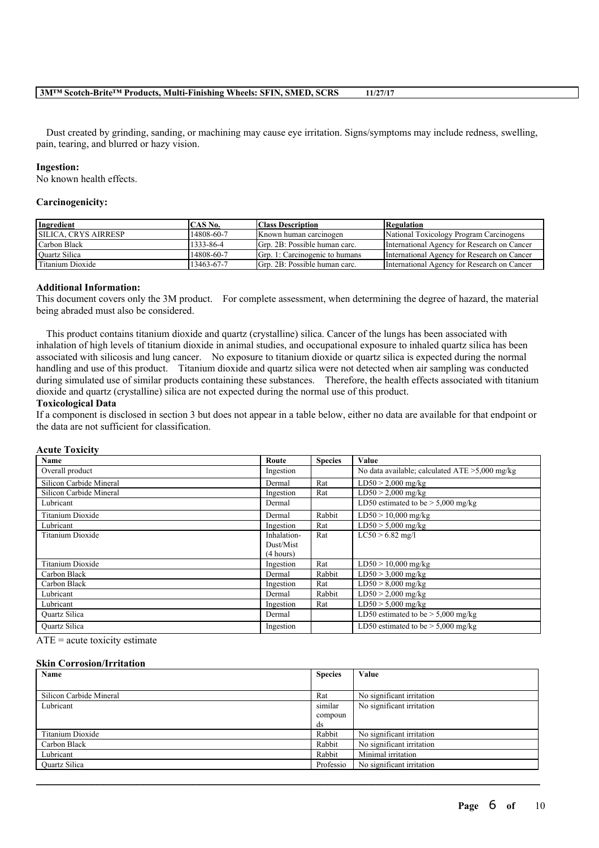Dust created by grinding, sanding, or machining may cause eye irritation. Signs/symptoms may include redness, swelling, pain, tearing, and blurred or hazy vision.

#### **Ingestion:**

No known health effects.

#### **Carcinogenicity:**

| Ingredient                  | CAS No.    | <b>Class Description</b>       | Regulation                                  |
|-----------------------------|------------|--------------------------------|---------------------------------------------|
| <b>SILICA. CRYS AIRRESP</b> | 14808-60-7 | Known human carcinogen         | National Toxicology Program Carcinogens     |
| Carbon Black                | 1333-86-4  | Grp. 2B: Possible human carc.  | International Agency for Research on Cancer |
| Quartz Silica               | 14808-60-7 | Grp. 1: Carcinogenic to humans | International Agency for Research on Cancer |
| Titanium Dioxide            | 13463-67-7 | Grp. 2B: Possible human carc.  | International Agency for Research on Cancer |

#### **Additional Information:**

This document covers only the 3M product. For complete assessment, when determining the degree of hazard, the material being abraded must also be considered.

This product contains titanium dioxide and quartz (crystalline) silica. Cancer of the lungs has been associated with inhalation of high levels of titanium dioxide in animal studies, and occupational exposure to inhaled quartz silica has been associated with silicosis and lung cancer. No exposure to titanium dioxide or quartz silica is expected during the normal handling and use of this product. Titanium dioxide and quartz silica were not detected when air sampling was conducted during simulated use of similar products containing these substances. Therefore, the health effects associated with titanium dioxide and quartz (crystalline) silica are not expected during the normal use of this product.

#### **Toxicological Data**

If a component is disclosed in section 3 but does not appear in a table below, either no data are available for that endpoint or the data are not sufficient for classification.

| AUUUU LUAIUIUT          |             |                |                                                   |
|-------------------------|-------------|----------------|---------------------------------------------------|
| Name                    | Route       | <b>Species</b> | Value                                             |
| Overall product         | Ingestion   |                | No data available; calculated $ATE > 5,000$ mg/kg |
| Silicon Carbide Mineral | Dermal      | Rat            | $LD50 > 2,000$ mg/kg                              |
| Silicon Carbide Mineral | Ingestion   | Rat            | $LD50 > 2,000$ mg/kg                              |
| Lubricant               | Dermal      |                | LD50 estimated to be $> 5,000$ mg/kg              |
| Titanium Dioxide        | Dermal      | Rabbit         | $LD50 > 10,000$ mg/kg                             |
| Lubricant               | Ingestion   | Rat            | $LD50 > 5,000$ mg/kg                              |
| Titanium Dioxide        | Inhalation- | Rat            | $LC50 > 6.82$ mg/l                                |
|                         | Dust/Mist   |                |                                                   |
|                         | (4 hours)   |                |                                                   |
| Titanium Dioxide        | Ingestion   | Rat            | $LD50 > 10,000$ mg/kg                             |
| Carbon Black            | Dermal      | Rabbit         | $LD50 > 3,000$ mg/kg                              |
| Carbon Black            | Ingestion   | Rat            | $LD50 > 8,000$ mg/kg                              |
| Lubricant               | Dermal      | Rabbit         | $LD50 > 2,000$ mg/kg                              |
| Lubricant               | Ingestion   | Rat            | $LD50 > 5,000$ mg/kg                              |
| <b>Ouartz Silica</b>    | Dermal      |                | LD50 estimated to be $> 5,000$ mg/kg              |
| <b>Ouartz Silica</b>    | Ingestion   |                | LD50 estimated to be $>$ 5,000 mg/kg              |
|                         |             |                |                                                   |

#### **Acute Toxicity**

 $ATE = acute$  toxicity estimate

#### **Skin Corrosion/Irritation**

| Name                    | <b>Species</b> | Value                     |
|-------------------------|----------------|---------------------------|
|                         |                |                           |
| Silicon Carbide Mineral | Rat            | No significant irritation |
| Lubricant               | similar        | No significant irritation |
|                         | compoun        |                           |
|                         | ds             |                           |
| Titanium Dioxide        | Rabbit         | No significant irritation |
| Carbon Black            | Rabbit         | No significant irritation |
| Lubricant               | Rabbit         | Minimal irritation        |
| <b>Ouartz Silica</b>    | Professio      | No significant irritation |

 $\mathcal{L}_\mathcal{L} = \mathcal{L}_\mathcal{L} = \mathcal{L}_\mathcal{L} = \mathcal{L}_\mathcal{L} = \mathcal{L}_\mathcal{L} = \mathcal{L}_\mathcal{L} = \mathcal{L}_\mathcal{L} = \mathcal{L}_\mathcal{L} = \mathcal{L}_\mathcal{L} = \mathcal{L}_\mathcal{L} = \mathcal{L}_\mathcal{L} = \mathcal{L}_\mathcal{L} = \mathcal{L}_\mathcal{L} = \mathcal{L}_\mathcal{L} = \mathcal{L}_\mathcal{L} = \mathcal{L}_\mathcal{L} = \mathcal{L}_\mathcal{L}$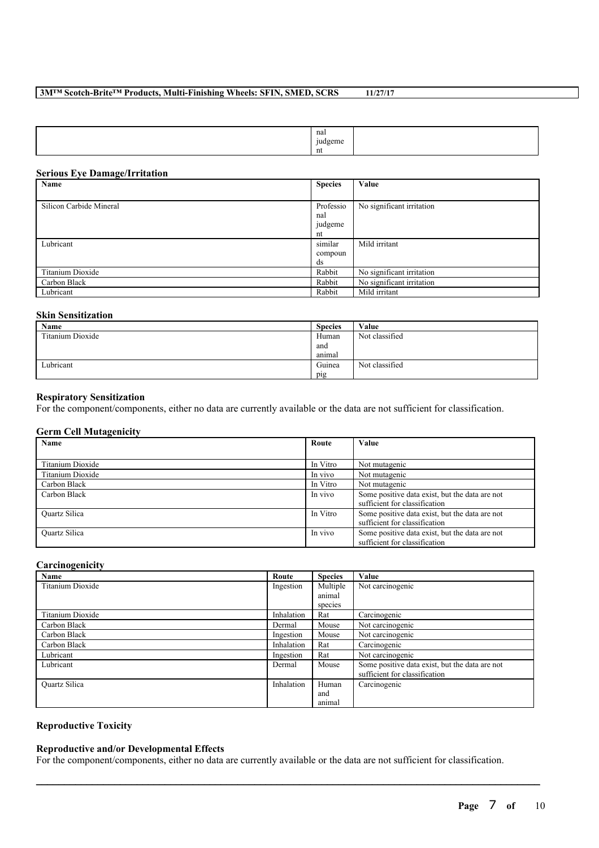| nal<br>.<br>udgeme<br>T.<br>___ |  |
|---------------------------------|--|
| nt                              |  |

### **Serious Eye Damage/Irritation**

| Name                    | <b>Species</b> | Value                     |
|-------------------------|----------------|---------------------------|
|                         |                |                           |
| Silicon Carbide Mineral | Professio      | No significant irritation |
|                         | nal            |                           |
|                         | judgeme        |                           |
|                         | nt             |                           |
| Lubricant               | similar        | Mild irritant             |
|                         | compoun        |                           |
|                         | ds             |                           |
| Titanium Dioxide        | Rabbit         | No significant irritation |
| Carbon Black            | Rabbit         | No significant irritation |
| Lubricant               | Rabbit         | Mild irritant             |

#### **Skin Sensitization**

| Name             | <b>Species</b> | Value          |
|------------------|----------------|----------------|
| Titanium Dioxide | Human          | Not classified |
|                  | and            |                |
|                  | anımal         |                |
| Lubricant        | Guinea         | Not classified |
|                  | pig            |                |

### **Respiratory Sensitization**

For the component/components, either no data are currently available or the data are not sufficient for classification.

### **Germ Cell Mutagenicity**

| <b>Name</b>          | Route    | Value                                                                           |
|----------------------|----------|---------------------------------------------------------------------------------|
|                      |          |                                                                                 |
| Titanium Dioxide     | In Vitro | Not mutagenic                                                                   |
| Titanium Dioxide     | In vivo  | Not mutagenic                                                                   |
| Carbon Black         | In Vitro | Not mutagenic                                                                   |
| Carbon Black         | In vivo  | Some positive data exist, but the data are not<br>sufficient for classification |
| <b>Ouartz Silica</b> | In Vitro | Some positive data exist, but the data are not<br>sufficient for classification |
| <b>Ouartz Silica</b> | In vivo  | Some positive data exist, but the data are not<br>sufficient for classification |

### **Carcinogenicity**

| Name                 | Route      | <b>Species</b> | Value                                          |
|----------------------|------------|----------------|------------------------------------------------|
| Titanium Dioxide     | Ingestion  | Multiple       | Not carcinogenic                               |
|                      |            | animal         |                                                |
|                      |            | species        |                                                |
| Titanium Dioxide     | Inhalation | Rat            | Carcinogenic                                   |
| Carbon Black         | Dermal     | Mouse          | Not carcinogenic                               |
| Carbon Black         | Ingestion  | Mouse          | Not carcinogenic                               |
| Carbon Black         | Inhalation | Rat            | Carcinogenic                                   |
| Lubricant            | Ingestion  | Rat            | Not carcinogenic                               |
| Lubricant            | Dermal     | Mouse          | Some positive data exist, but the data are not |
|                      |            |                | sufficient for classification                  |
| <b>Ouartz Silica</b> | Inhalation | Human          | Carcinogenic                                   |
|                      |            | and            |                                                |
|                      |            | animal         |                                                |

### **Reproductive Toxicity**

#### **Reproductive and/or Developmental Effects**

For the component/components, either no data are currently available or the data are not sufficient for classification.

 $\mathcal{L}_\mathcal{L} = \mathcal{L}_\mathcal{L} = \mathcal{L}_\mathcal{L} = \mathcal{L}_\mathcal{L} = \mathcal{L}_\mathcal{L} = \mathcal{L}_\mathcal{L} = \mathcal{L}_\mathcal{L} = \mathcal{L}_\mathcal{L} = \mathcal{L}_\mathcal{L} = \mathcal{L}_\mathcal{L} = \mathcal{L}_\mathcal{L} = \mathcal{L}_\mathcal{L} = \mathcal{L}_\mathcal{L} = \mathcal{L}_\mathcal{L} = \mathcal{L}_\mathcal{L} = \mathcal{L}_\mathcal{L} = \mathcal{L}_\mathcal{L}$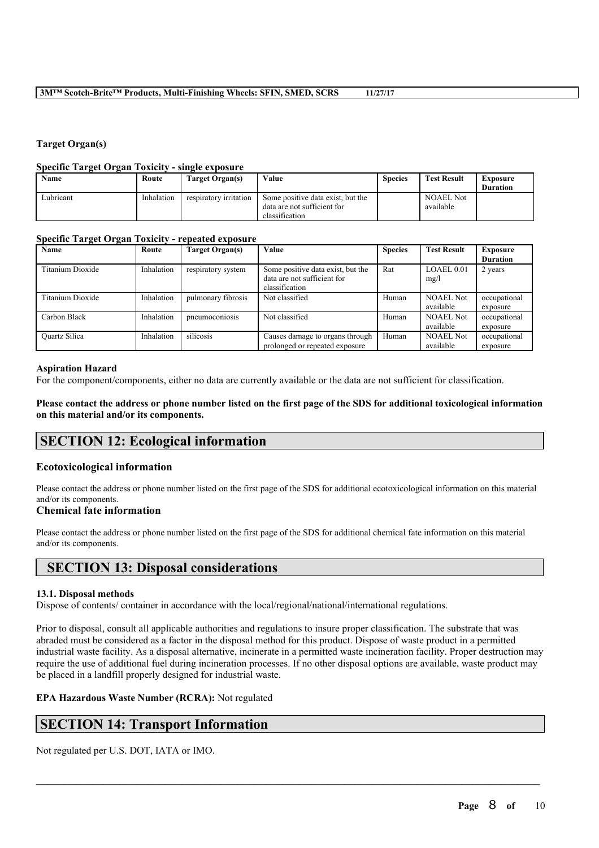### **Target Organ(s)**

#### **Specific Target Organ Toxicity - single exposure**

| Name      | Route      | Target Organ(s)        | Value                                         | <b>Species</b> | <b>Test Result</b> | Exposure<br><b>Duration</b> |
|-----------|------------|------------------------|-----------------------------------------------|----------------|--------------------|-----------------------------|
| Lubricant | Inhalation | respiratory irritation | Some positive data exist, but the             |                | <b>NOAEL Not</b>   |                             |
|           |            |                        | data are not sufficient for<br>classification |                | available          |                             |

### **Specific Target Organ Toxicity - repeated exposure**

| Name                 | Route      | <b>Target Organ(s)</b> | Value                                                                              | <b>Species</b> | <b>Test Result</b>            | <b>Exposure</b>          |
|----------------------|------------|------------------------|------------------------------------------------------------------------------------|----------------|-------------------------------|--------------------------|
|                      |            |                        |                                                                                    |                |                               | <b>Duration</b>          |
| Titanium Dioxide     | Inhalation | respiratory system     | Some positive data exist, but the<br>data are not sufficient for<br>classification | Rat            | LOAEL 0.01<br>mg/l            | 2 years                  |
| Titanium Dioxide     | Inhalation | pulmonary fibrosis     | Not classified                                                                     | Human          | <b>NOAEL Not</b><br>available | occupational<br>exposure |
| Carbon Black         | Inhalation | pneumoconiosis         | Not classified                                                                     | Human          | <b>NOAEL Not</b><br>available | occupational<br>exposure |
| <b>Ouartz Silica</b> | Inhalation | silicosis              | Causes damage to organs through<br>prolonged or repeated exposure                  | Human          | <b>NOAEL Not</b><br>available | occupational<br>exposure |

#### **Aspiration Hazard**

For the component/components, either no data are currently available or the data are not sufficient for classification.

Please contact the address or phone number listed on the first page of the SDS for additional toxicological information **on this material and/or its components.**

## **SECTION 12: Ecological information**

#### **Ecotoxicological information**

Please contact the address or phone number listed on the first page of the SDS for additional ecotoxicological information on this material and/or its components.

### **Chemical fate information**

Please contact the address or phone number listed on the first page of the SDS for additional chemical fate information on this material and/or its components.

## **SECTION 13: Disposal considerations**

#### **13.1. Disposal methods**

Dispose of contents/ container in accordance with the local/regional/national/international regulations.

Prior to disposal, consult all applicable authorities and regulations to insure proper classification. The substrate that was abraded must be considered as a factor in the disposal method for this product. Dispose of waste product in a permitted industrial waste facility. As a disposal alternative, incinerate in a permitted waste incineration facility. Proper destruction may require the use of additional fuel during incineration processes. If no other disposal options are available, waste product may be placed in a landfill properly designed for industrial waste.

 $\mathcal{L}_\mathcal{L} = \mathcal{L}_\mathcal{L} = \mathcal{L}_\mathcal{L} = \mathcal{L}_\mathcal{L} = \mathcal{L}_\mathcal{L} = \mathcal{L}_\mathcal{L} = \mathcal{L}_\mathcal{L} = \mathcal{L}_\mathcal{L} = \mathcal{L}_\mathcal{L} = \mathcal{L}_\mathcal{L} = \mathcal{L}_\mathcal{L} = \mathcal{L}_\mathcal{L} = \mathcal{L}_\mathcal{L} = \mathcal{L}_\mathcal{L} = \mathcal{L}_\mathcal{L} = \mathcal{L}_\mathcal{L} = \mathcal{L}_\mathcal{L}$ 

#### **EPA Hazardous Waste Number (RCRA):** Not regulated

## **SECTION 14: Transport Information**

Not regulated per U.S. DOT, IATA or IMO.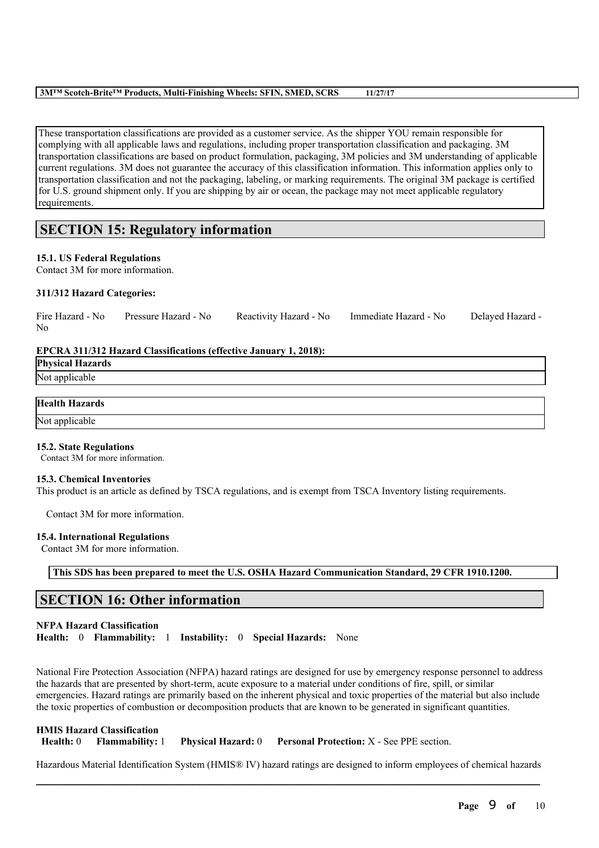These transportation classifications are provided as a customer service. As the shipper YOU remain responsible for complying with all applicable laws and regulations, including proper transportation classification and packaging. 3M transportation classifications are based on product formulation, packaging, 3M policies and 3M understanding of applicable current regulations. 3M does not guarantee the accuracy of this classification information. This information applies only to transportation classification and not the packaging, labeling, or marking requirements. The original 3M package is certified for U.S. ground shipment only. If you are shipping by air or ocean, the package may not meet applicable regulatory requirements.

## **SECTION 15: Regulatory information**

### **15.1. US Federal Regulations**

Contact 3M for more information.

#### **311/312 Hazard Categories:**

| Fire Hazard - No<br>No. | Pressure Hazard - No                                                    | Reactivity Hazard - No | Immediate Hazard - No | Delayed Hazard - |
|-------------------------|-------------------------------------------------------------------------|------------------------|-----------------------|------------------|
|                         | <b>EPCRA</b> 311/312 Hazard Classifications (effective January 1, 2018) |                        |                       |                  |

### **EPCRA 311/312 Hazard Classifications (effective January 1, 2018):**

**Physical Hazards** Not applicable

## **Health Hazards**

Not applicable

#### **15.2. State Regulations**

Contact 3M for more information.

#### **15.3. Chemical Inventories**

This product is an article as defined by TSCA regulations, and is exempt from TSCA Inventory listing requirements.

Contact 3M for more information.

#### **15.4. International Regulations**

Contact 3M for more information.

**This SDS has been prepared to meet the U.S. OSHA Hazard Communication Standard, 29 CFR 1910.1200.**

## **SECTION 16: Other information**

#### **NFPA Hazard Classification**

**Health:** 0 **Flammability:** 1 **Instability:** 0 **Special Hazards:** None

National Fire Protection Association (NFPA) hazard ratings are designed for use by emergency response personnel to address the hazards that are presented by short-term, acute exposure to a material under conditions of fire, spill, or similar emergencies. Hazard ratings are primarily based on the inherent physical and toxic properties of the material but also include the toxic properties of combustion or decomposition products that are known to be generated in significant quantities.

|                  | <b>HMIS Hazard Classification</b> |                           |                                                  |
|------------------|-----------------------------------|---------------------------|--------------------------------------------------|
| <b>Health:</b> 0 | <b>Flammability:</b> 1            | <b>Physical Hazard:</b> 0 | <b>Personal Protection:</b> X - See PPE section. |

 $\mathcal{L}_\mathcal{L} = \mathcal{L}_\mathcal{L} = \mathcal{L}_\mathcal{L} = \mathcal{L}_\mathcal{L} = \mathcal{L}_\mathcal{L} = \mathcal{L}_\mathcal{L} = \mathcal{L}_\mathcal{L} = \mathcal{L}_\mathcal{L} = \mathcal{L}_\mathcal{L} = \mathcal{L}_\mathcal{L} = \mathcal{L}_\mathcal{L} = \mathcal{L}_\mathcal{L} = \mathcal{L}_\mathcal{L} = \mathcal{L}_\mathcal{L} = \mathcal{L}_\mathcal{L} = \mathcal{L}_\mathcal{L} = \mathcal{L}_\mathcal{L}$ Hazardous Material Identification System (HMIS® IV) hazard ratings are designed to inform employees of chemical hazards